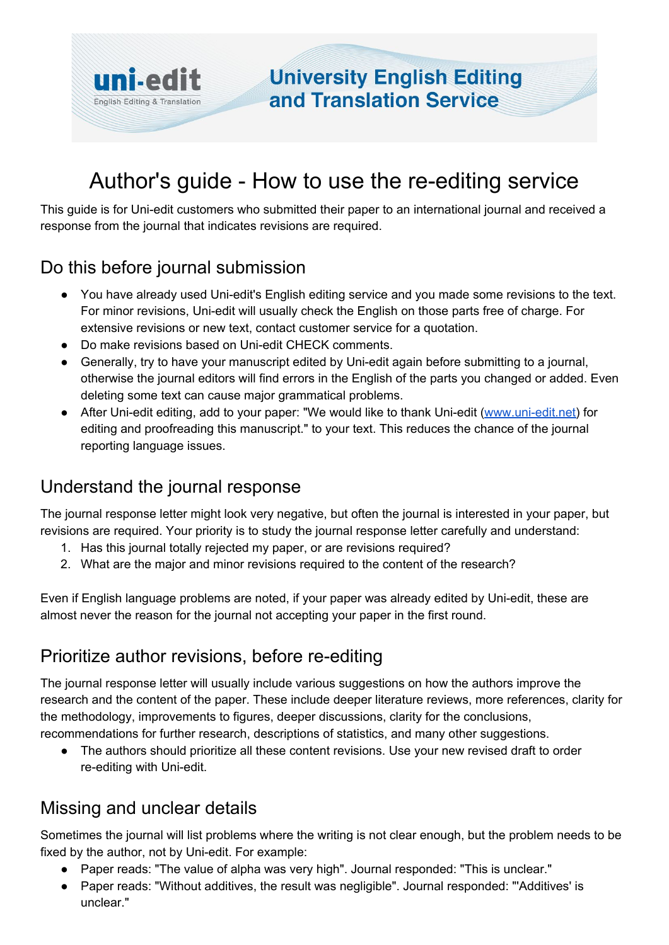

# Author's guide - How to use the re-editing service

This guide is for Uni-edit customers who submitted their paper to an international journal and received a response from the journal that indicates revisions are required.

#### Do this before journal submission

- You have already used Uni-edit's English editing service and you made some revisions to the text. For minor revisions, Uni-edit will usually check the English on those parts free of charge. For extensive revisions or new text, contact customer service for a quotation.
- Do make revisions based on Uni-edit CHECK comments.
- Generally, try to have your manuscript edited by Uni-edit again before submitting to a journal, otherwise the journal editors will find errors in the English of the parts you changed or added. Even deleting some text can cause major grammatical problems.
- After Uni-edit editing, add to your paper: "We would like to thank Uni-edit ([www.uni-edit.net](https://uni-edit.net/)) for editing and proofreading this manuscript." to your text. This reduces the chance of the journal reporting language issues.

### Understand the journal response

The journal response letter might look very negative, but often the journal is interested in your paper, but revisions are required. Your priority is to study the journal response letter carefully and understand:

- 1. Has this journal totally rejected my paper, or are revisions required?
- 2. What are the major and minor revisions required to the content of the research?

Even if English language problems are noted, if your paper was already edited by Uni-edit, these are almost never the reason for the journal not accepting your paper in the first round.

### Prioritize author revisions, before re-editing

The journal response letter will usually include various suggestions on how the authors improve the research and the content of the paper. These include deeper literature reviews, more references, clarity for the methodology, improvements to figures, deeper discussions, clarity for the conclusions, recommendations for further research, descriptions of statistics, and many other suggestions.

• The authors should prioritize all these content revisions. Use your new revised draft to order re-editing with Uni-edit.

### Missing and unclear details

Sometimes the journal will list problems where the writing is not clear enough, but the problem needs to be fixed by the author, not by Uni-edit. For example:

- Paper reads: "The value of alpha was very high". Journal responded: "This is unclear."
- Paper reads: "Without additives, the result was negligible". Journal responded: "'Additives' is unclear."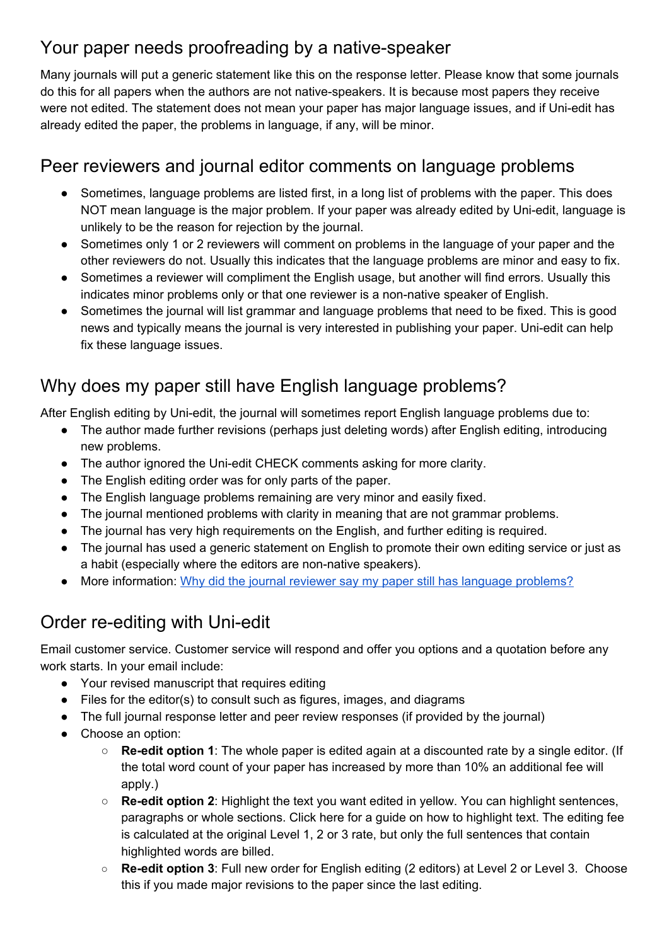### Your paper needs proofreading by a native-speaker

Many journals will put a generic statement like this on the response letter. Please know that some journals do this for all papers when the authors are not native-speakers. It is because most papers they receive were not edited. The statement does not mean your paper has major language issues, and if Uni-edit has already edited the paper, the problems in language, if any, will be minor.

### Peer reviewers and journal editor comments on language problems

- Sometimes, language problems are listed first, in a long list of problems with the paper. This does NOT mean language is the major problem. If your paper was already edited by Uni-edit, language is unlikely to be the reason for rejection by the journal.
- Sometimes only 1 or 2 reviewers will comment on problems in the language of your paper and the other reviewers do not. Usually this indicates that the language problems are minor and easy to fix.
- Sometimes a reviewer will compliment the English usage, but another will find errors. Usually this indicates minor problems only or that one reviewer is a non-native speaker of English.
- Sometimes the journal will list grammar and language problems that need to be fixed. This is good news and typically means the journal is very interested in publishing your paper. Uni-edit can help fix these language issues.

## Why does my paper still have English language problems?

After English editing by Uni-edit, the journal will sometimes report English language problems due to:

- The author made further revisions (perhaps just deleting words) after English editing, introducing new problems.
- The author ignored the Uni-edit CHECK comments asking for more clarity.
- The English editing order was for only parts of the paper.
- The English language problems remaining are very minor and easily fixed.
- The journal mentioned problems with clarity in meaning that are not grammar problems.
- The journal has very high requirements on the English, and further editing is required.
- The journal has used a generic statement on English to promote their own editing service or just as a habit (especially where the editors are non-native speakers).
- More information: Why did the journal reviewer say my paper still has language [problems?](https://docs.google.com/document/d/1yqOoVDMdFZX33JxDPLEyuIHSONKJZuBhKPr6EQquN7c/edit)

### Order re-editing with Uni-edit

Email customer service. Customer service will respond and offer you options and a quotation before any work starts. In your email include:

- Your revised manuscript that requires editing
- Files for the editor(s) to consult such as figures, images, and diagrams
- The full journal response letter and peer review responses (if provided by the journal)
- Choose an option:
	- **Re-edit option 1**: The whole paper is edited again at a discounted rate by a single editor. (If the total word count of your paper has increased by more than 10% an additional fee will apply.)
	- **Re-edit option 2**: Highlight the text you want edited in yellow. You can highlight sentences, paragraphs or whole sections. Click here for a guide on how to [highlight](http://www.uni-edit.net/dmdocuments/Uni-edit%20Sample%20of%20Yellow%20Highlighting%20for%20Re-editing.docx) text. The editing fee is calculated at the original Level 1, 2 or 3 rate, but only the full sentences that contain highlighted words are billed.
	- **Re-edit option 3**: Full new order for English editing (2 editors) at Level 2 or Level 3. Choose this if you made major revisions to the paper since the last editing.